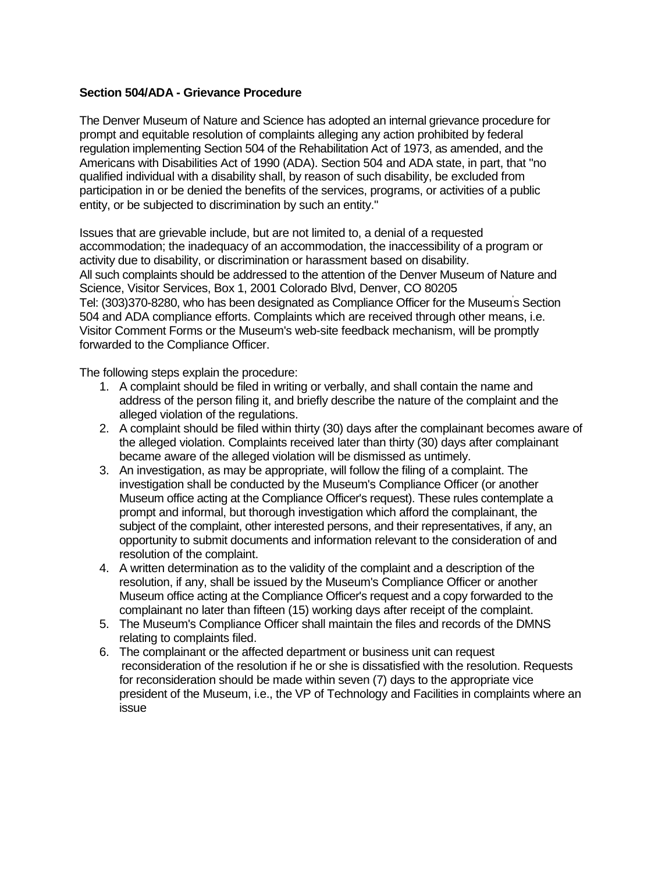## **Section 504/ADA - Grievance Procedure**

The Denver Museum of Nature and Science has adopted an internal grievance procedure for prompt and equitable resolution of complaints alleging any action prohibited by federal regulation implementing Section 504 of the Rehabilitation Act of 1973, as amended, and the Americans with Disabilities Act of 1990 (ADA). Section 504 and ADA state, in part, that "no qualified individual with a disability shall, by reason of such disability, be excluded from participation in or be denied the benefits of the services, programs, or activities of a public entity, or be subjected to discrimination by such an entity."

Issues that are grievable include, but are not limited to, a denial of a requested accommodation; the inadequacy of an accommodation, the inaccessibility of a program or activity due to disability, or discrimination or harassment based on disability. All such complaints should be addressed to the attention of the Denver Museum of Nature and Science, Visitor Services, Box 1, 2001 Colorado Blvd, Denver, CO 80205 Tel: (303)370-8280, who has been designated as Compliance Officer for the Museum' s Section 504 and ADA compliance efforts. Complaints which are received through other means, i.e. Visitor Comment Forms or the Museum's web-site feedback mechanism, will be promptly forwarded to the Compliance Officer.

The following steps explain the procedure:

- 1. A complaint should be filed in writing or verbally, and shall contain the name and address of the person filing it, and briefly describe the nature of the complaint and the alleged violation of the regulations.
- 2. A complaint should be filed within thirty (30) days after the complainant becomes aware of the alleged violation. Complaints received later than thirty (30) days after complainant became aware of the alleged violation will be dismissed as untimely.
- 3. An investigation, as may be appropriate, will follow the filing of a complaint. The investigation shall be conducted by the Museum's Compliance Officer (or another Museum office acting at the Compliance Officer's request). These rules contemplate a prompt and informal, but thorough investigation which afford the complainant, the subject of the complaint, other interested persons, and their representatives, if any, an opportunity to submit documents and information relevant to the consideration of and resolution of the complaint.
- 4. A written determination as to the validity of the complaint and a description of the resolution, if any, shall be issued by the Museum's Compliance Officer or another Museum office acting at the Compliance Officer's request and a copy forwarded to the complainant no later than fifteen (15) working days after receipt of the complaint.
- 5. The Museum's Compliance Officer shall maintain the files and records of the DMNS relating to complaints filed.
- 6. The complainant or the affected department or business unit can request reconsideration of the resolution if he or she is dissatisfied with the resolution. Requests for reconsideration should be made within seven (7) days to the appropriate vice president of the Museum, i.e., the VP of Technology and Facilities in complaints where an issue